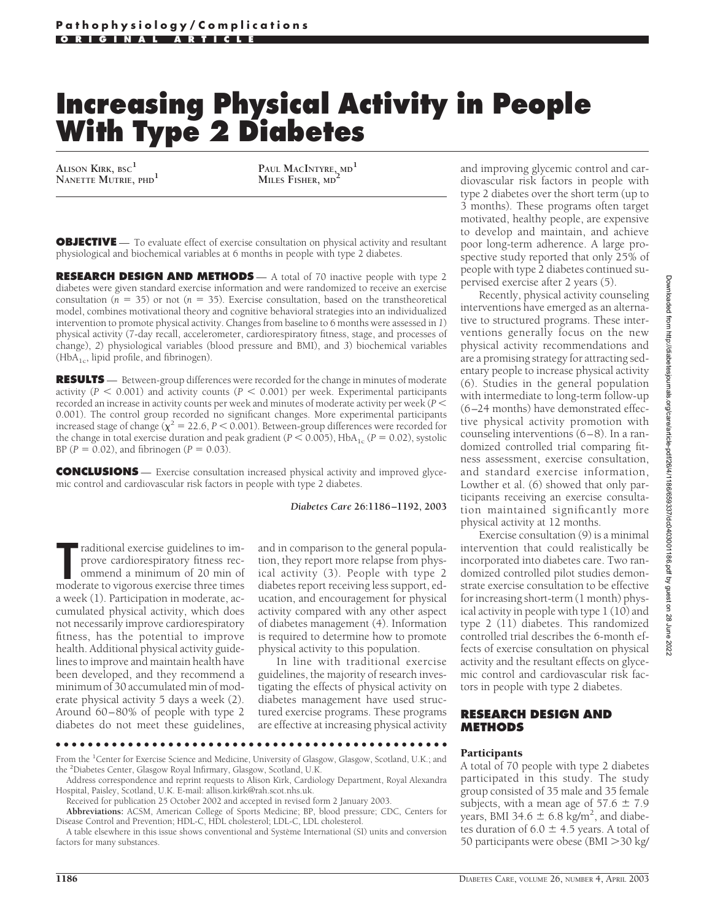# **Increasing Physical Activity in People With Type 2 Diabetes**

**ALISON KIRK, BSC<sup>1</sup>**

**NANETTE MUTRIE, PHD<sup>1</sup> PAUL MACINTYRE, MD<sup>1</sup> MILES FISHER, MD<sup>2</sup>**

**OBJECTIVE** — To evaluate effect of exercise consultation on physical activity and resultant physiological and biochemical variables at 6 months in people with type 2 diabetes.

**RESEARCH DESIGN AND METHODS** — A total of 70 inactive people with type 2 diabetes were given standard exercise information and were randomized to receive an exercise consultation  $(n = 35)$  or not  $(n = 35)$ . Exercise consultation, based on the transtheoretical model, combines motivational theory and cognitive behavioral strategies into an individualized intervention to promote physical activity. Changes from baseline to 6 months were assessed in *1*) physical activity (7-day recall, accelerometer, cardiorespiratory fitness, stage, and processes of change), *2*) physiological variables (blood pressure and BMI), and *3*) biochemical variables  $(HbA<sub>1c</sub>, lipid profile, and fibrinogen).$ 

**RESULTS** — Between-group differences were recorded for the change in minutes of moderate activity  $(P < 0.001)$  and activity counts  $(P < 0.001)$  per week. Experimental participants recorded an increase in activity counts per week and minutes of moderate activity per week (P  $\leq$ 0.001). The control group recorded no significant changes. More experimental participants increased stage of change  $(\chi^2 = 22.6, P < 0.001)$ . Between-group differences were recorded for the change in total exercise duration and peak gradient ( $P < 0.005$ ), HbA<sub>1c</sub> ( $P = 0.02$ ), systolic BP ( $P = 0.02$ ), and fibrinogen ( $P = 0.03$ ).

**CONCLUSIONS** — Exercise consultation increased physical activity and improved glycemic control and cardiovascular risk factors in people with type 2 diabetes.

#### *Diabetes Care* **26:1186–1192, 2003**

Traditional exercise guidelines to im-<br>
prove cardiorespiratory fitness rec-<br>
ommend a minimum of 20 min of<br>
moderate to vigorous exercise three times raditional exercise guidelines to improve cardiorespiratory fitness recommend a minimum of 20 min of a week (1). Participation in moderate, accumulated physical activity, which does not necessarily improve cardiorespiratory fitness, has the potential to improve health. Additional physical activity guidelines to improve and maintain health have been developed, and they recommend a minimum of 30 accumulated min of moderate physical activity 5 days a week (2). Around 60–80% of people with type 2 diabetes do not meet these guidelines,

and in comparison to the general population, they report more relapse from physical activity (3). People with type 2 diabetes report receiving less support, education, and encouragement for physical activity compared with any other aspect of diabetes management (4). Information is required to determine how to promote physical activity to this population.

In line with traditional exercise guidelines, the majority of research investigating the effects of physical activity on diabetes management have used structured exercise programs. These programs are effective at increasing physical activity

From the <sup>1</sup>Center for Exercise Science and Medicine, University of Glasgow, Glasgow, Scotland, U.K.; and the <sup>2</sup> Diabetes Center, Glasgow Royal Infirmary, Glasgow, Scotland, U.K.

●●●●●●●●●●●●●●●●●●●●●●●●●●●●●●●●●●●●●●●●●●●●●●●●●

**Abbreviations:** ACSM, American College of Sports Medicine; BP, blood pressure; CDC, Centers for Disease Control and Prevention; HDL-C, HDL cholesterol; LDL-C, LDL cholesterol.

A table elsewhere in this issue shows conventional and Système International (SI) units and conversion factors for many substances.

and improving glycemic control and cardiovascular risk factors in people with type 2 diabetes over the short term (up to 3 months). These programs often target motivated, healthy people, are expensive to develop and maintain, and achieve poor long-term adherence. A large prospective study reported that only 25% of people with type 2 diabetes continued supervised exercise after 2 years (5).

Recently, physical activity counseling interventions have emerged as an alternative to structured programs. These interventions generally focus on the new physical activity recommendations and are a promising strategy for attracting sedentary people to increase physical activity (6). Studies in the general population with intermediate to long-term follow-up (6–24 months) have demonstrated effective physical activity promotion with counseling interventions (6–8). In a randomized controlled trial comparing fitness assessment, exercise consultation, and standard exercise information, Lowther et al. (6) showed that only participants receiving an exercise consultation maintained significantly more physical activity at 12 months.

Exercise consultation (9) is a minimal intervention that could realistically be incorporated into diabetes care. Two randomized controlled pilot studies demonstrate exercise consultation to be effective for increasing short-term (1 month) physical activity in people with type 1 (10) and type 2 (11) diabetes. This randomized controlled trial describes the 6-month effects of exercise consultation on physical activity and the resultant effects on glycemic control and cardiovascular risk factors in people with type 2 diabetes.

#### **RESEARCH DESIGN AND METHODS**

#### **Participants**

A total of 70 people with type 2 diabetes participated in this study. The study group consisted of 35 male and 35 female subjects, with a mean age of  $57.6 \pm 7.9$ years, BMI 34.6  $\pm$  6.8 kg/m<sup>2</sup>, and diabetes duration of  $6.0 \pm 4.5$  years. A total of 50 participants were obese (BMI > 30 kg/

Address correspondence and reprint requests to Alison Kirk, Cardiology Department, Royal Alexandra Hospital, Paisley, Scotland, U.K. E-mail: allison.kirk@rah.scot.nhs.uk.

Received for publication 25 October 2002 and accepted in revised form 2 January 2003.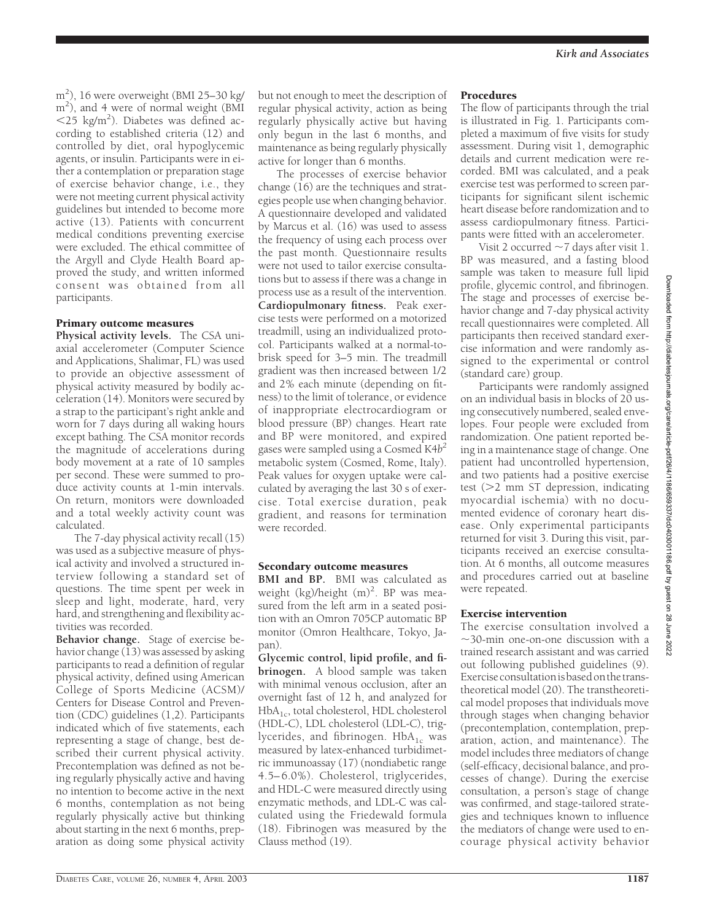m2 ), 16 were overweight (BMI 25–30 kg/ m2 ), and 4 were of normal weight (BMI  $<$ 25 kg/m<sup>2</sup>). Diabetes was defined according to established criteria (12) and controlled by diet, oral hypoglycemic agents, or insulin. Participants were in either a contemplation or preparation stage of exercise behavior change, i.e., they were not meeting current physical activity guidelines but intended to become more active (13). Patients with concurrent medical conditions preventing exercise were excluded. The ethical committee of the Argyll and Clyde Health Board approved the study, and written informed consent was obtained from all participants.

### Primary outcome measures

**Physical activity levels.** The CSA uniaxial accelerometer (Computer Science and Applications, Shalimar, FL) was used to provide an objective assessment of physical activity measured by bodily acceleration (14). Monitors were secured by a strap to the participant's right ankle and worn for 7 days during all waking hours except bathing. The CSA monitor records the magnitude of accelerations during body movement at a rate of 10 samples per second. These were summed to produce activity counts at 1-min intervals. On return, monitors were downloaded and a total weekly activity count was calculated.

The 7-day physical activity recall (15) was used as a subjective measure of physical activity and involved a structured interview following a standard set of questions. The time spent per week in sleep and light, moderate, hard, very hard, and strengthening and flexibility activities was recorded.

**Behavior change.** Stage of exercise behavior change (13) was assessed by asking participants to read a definition of regular physical activity, defined using American College of Sports Medicine (ACSM)/ Centers for Disease Control and Prevention (CDC) guidelines (1,2). Participants indicated which of five statements, each representing a stage of change, best described their current physical activity. Precontemplation was defined as not being regularly physically active and having no intention to become active in the next 6 months, contemplation as not being regularly physically active but thinking about starting in the next 6 months, preparation as doing some physical activity but not enough to meet the description of regular physical activity, action as being regularly physically active but having only begun in the last 6 months, and maintenance as being regularly physically active for longer than 6 months.

The processes of exercise behavior change (16) are the techniques and strategies people use when changing behavior. A questionnaire developed and validated by Marcus et al. (16) was used to assess the frequency of using each process over the past month. Questionnaire results were not used to tailor exercise consultations but to assess if there was a change in process use as a result of the intervention. **Cardiopulmonary fitness.** Peak exercise tests were performed on a motorized treadmill, using an individualized protocol. Participants walked at a normal-tobrisk speed for 3–5 min. The treadmill gradient was then increased between 1/2 and 2% each minute (depending on fitness) to the limit of tolerance, or evidence of inappropriate electrocardiogram or blood pressure (BP) changes. Heart rate and BP were monitored, and expired gases were sampled using a Cosmed K4*b2* metabolic system (Cosmed, Rome, Italy). Peak values for oxygen uptake were calculated by averaging the last 30 s of exercise. Total exercise duration, peak gradient, and reasons for termination were recorded.

#### Secondary outcome measures

**BMI and BP.** BMI was calculated as weight (kg)/height (m)<sup>2</sup>. BP was measured from the left arm in a seated position with an Omron 705CP automatic BP monitor (Omron Healthcare, Tokyo, Japan).

**Glycemic control, lipid profile, and fibrinogen.** A blood sample was taken with minimal venous occlusion, after an overnight fast of 12 h, and analyzed for HbA<sub>1c</sub>, total cholesterol, HDL cholesterol (HDL-C), LDL cholesterol (LDL-C), triglycerides, and fibrinogen.  $HbA_{1c}$  was measured by latex-enhanced turbidimetric immunoassay (17) (nondiabetic range 4.5– 6.0%). Cholesterol, triglycerides, and HDL-C were measured directly using enzymatic methods, and LDL-C was calculated using the Friedewald formula (18). Fibrinogen was measured by the Clauss method (19).

## Procedures

The flow of participants through the trial is illustrated in Fig. 1. Participants completed a maximum of five visits for study assessment. During visit 1, demographic details and current medication were recorded. BMI was calculated, and a peak exercise test was performed to screen participants for significant silent ischemic heart disease before randomization and to assess cardiopulmonary fitness. Participants were fitted with an accelerometer.

Visit 2 occurred  $\sim$  7 days after visit 1. BP was measured, and a fasting blood sample was taken to measure full lipid profile, glycemic control, and fibrinogen. The stage and processes of exercise behavior change and 7-day physical activity recall questionnaires were completed. All participants then received standard exercise information and were randomly assigned to the experimental or control (standard care) group.

Participants were randomly assigned on an individual basis in blocks of 20 using consecutively numbered, sealed envelopes. Four people were excluded from randomization. One patient reported being in a maintenance stage of change. One patient had uncontrolled hypertension, and two patients had a positive exercise test  $(22 \text{ mm ST}$  depression, indicating myocardial ischemia) with no documented evidence of coronary heart disease. Only experimental participants returned for visit 3. During this visit, participants received an exercise consultation. At 6 months, all outcome measures and procedures carried out at baseline were repeated.

# Exercise intervention

The exercise consultation involved a  $\sim$ 30-min one-on-one discussion with a trained research assistant and was carried out following published guidelines (9). Exerciseconsultationisbasedonthetranstheoretical model (20). The transtheoretical model proposes that individuals move through stages when changing behavior (precontemplation, contemplation, preparation, action, and maintenance). The model includes three mediators of change (self-efficacy, decisional balance, and processes of change). During the exercise consultation, a person's stage of change was confirmed, and stage-tailored strategies and techniques known to influence the mediators of change were used to encourage physical activity behavior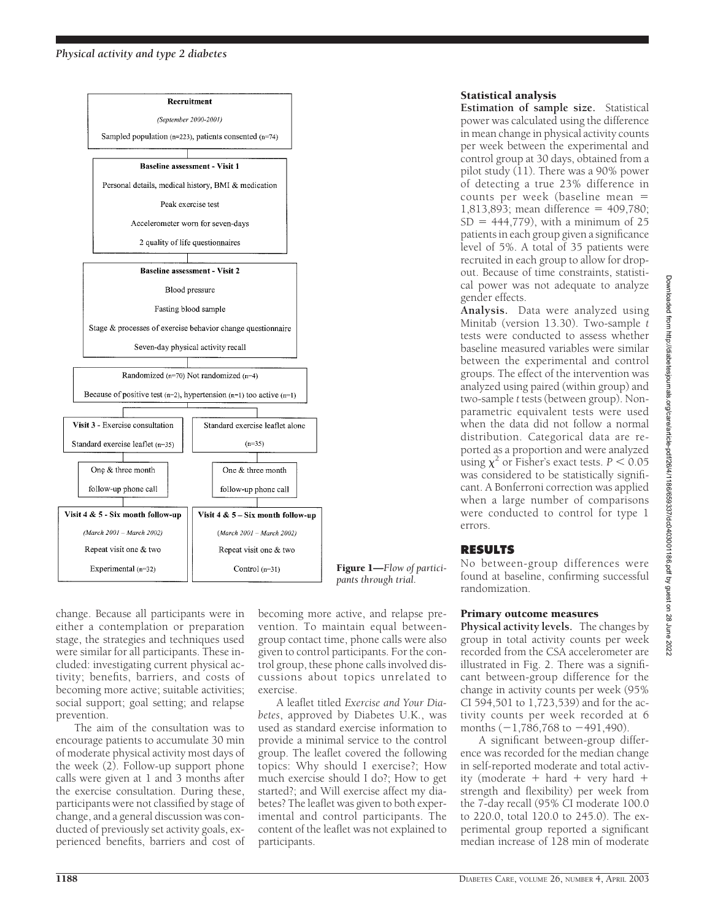

Figure 1—*Flow of participants through trial.*

change. Because all participants were in either a contemplation or preparation stage, the strategies and techniques used were similar for all participants. These included: investigating current physical activity; benefits, barriers, and costs of becoming more active; suitable activities; social support; goal setting; and relapse prevention.

The aim of the consultation was to encourage patients to accumulate 30 min of moderate physical activity most days of the week (2). Follow-up support phone calls were given at 1 and 3 months after the exercise consultation. During these, participants were not classified by stage of change, and a general discussion was conducted of previously set activity goals, experienced benefits, barriers and cost of

becoming more active, and relapse prevention. To maintain equal betweengroup contact time, phone calls were also given to control participants. For the control group, these phone calls involved discussions about topics unrelated to exercise.

A leaflet titled *Exercise and Your Diabetes*, approved by Diabetes U.K., was used as standard exercise information to provide a minimal service to the control group. The leaflet covered the following topics: Why should I exercise?; How much exercise should I do?; How to get started?; and Will exercise affect my diabetes? The leaflet was given to both experimental and control participants. The content of the leaflet was not explained to participants.

# Statistical analysis

**Estimation of sample size.** Statistical power was calculated using the difference in mean change in physical activity counts per week between the experimental and control group at 30 days, obtained from a pilot study (11). There was a 90% power of detecting a true 23% difference in counts per week (baseline mean 1,813,893; mean difference =  $409,780$ ;  $SD = 444,779$ , with a minimum of 25 patients in each group given a significance level of 5%. A total of 35 patients were recruited in each group to allow for dropout. Because of time constraints, statistical power was not adequate to analyze gender effects.

**Analysis.** Data were analyzed using Minitab (version 13.30). Two-sample *t* tests were conducted to assess whether baseline measured variables were similar between the experimental and control groups. The effect of the intervention was analyzed using paired (within group) and two-sample *t* tests (between group). Nonparametric equivalent tests were used when the data did not follow a normal distribution. Categorical data are reported as a proportion and were analyzed using  $\chi^2$  or Fisher's exact tests.  $P < 0.05$ was considered to be statistically significant. A Bonferroni correction was applied when a large number of comparisons were conducted to control for type 1 errors.

# **RESULTS**

No between-group differences were found at baseline, confirming successful randomization.

# Primary outcome measures

**Physical activity levels.** The changes by group in total activity counts per week recorded from the CSA accelerometer are illustrated in Fig. 2. There was a significant between-group difference for the change in activity counts per week (95% CI 594,501 to 1,723,539) and for the activity counts per week recorded at 6 months  $(-1.786,768$  to  $-491,490)$ .

A significant between-group difference was recorded for the median change in self-reported moderate and total activity (moderate  $+$  hard  $+$  very hard  $+$ strength and flexibility) per week from the 7-day recall (95% CI moderate 100.0 to 220.0, total 120.0 to 245.0). The experimental group reported a significant median increase of 128 min of moderate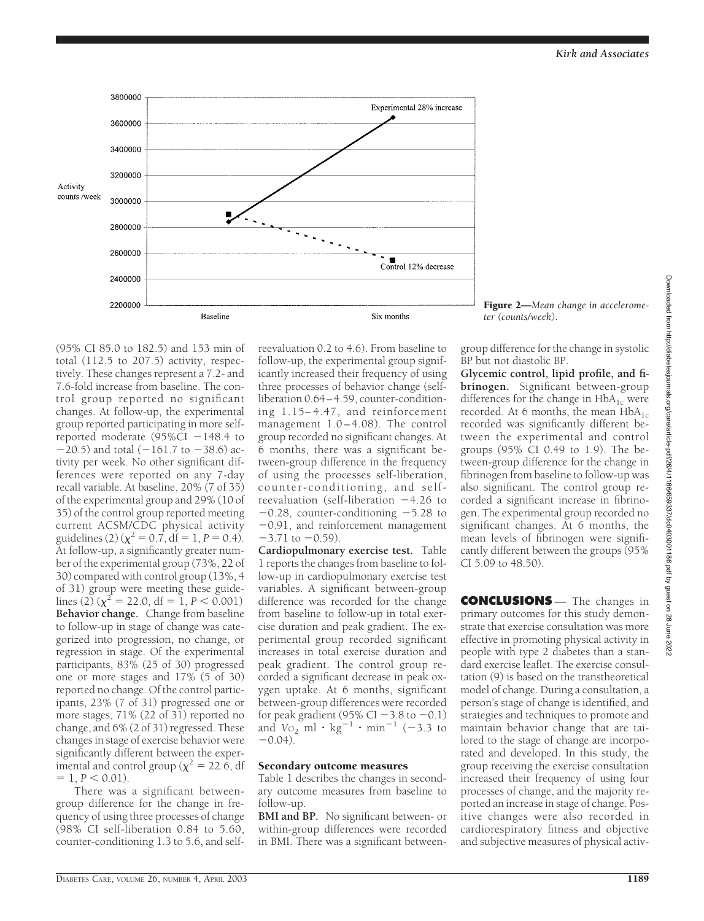

Figure 2—*Mean change in accelerometer (counts/week).*

(95% CI 85.0 to 182.5) and 153 min of total (112.5 to 207.5) activity, respectively. These changes represent a 7.2- and 7.6-fold increase from baseline. The control group reported no significant changes. At follow-up, the experimental group reported participating in more selfreported moderate  $(95\%CI - 148.4$  to  $-20.5$ ) and total (-161.7 to -38.6) activity per week. No other significant differences were reported on any 7-day recall variable. At baseline, 20% (7 of 35) of the experimental group and 29% (10 of 35) of the control group reported meeting current ACSM/CDC physical activity guidelines (2) ( $\chi^2 = 0.\overline{7}$ , df = 1, *P* = 0.4). At follow-up, a significantly greater number of the experimental group (73%, 22 of 30) compared with control group (13%, 4 of 31) group were meeting these guidelines (2)  $(\chi^2 = 22.0, df = 1, P < 0.001)$ **Behavior change.** Change from baseline to follow-up in stage of change was categorized into progression, no change, or regression in stage. Of the experimental participants, 83% (25 of 30) progressed one or more stages and 17% (5 of 30) reported no change. Of the control participants, 23% (7 of 31) progressed one or more stages, 71% (22 of 31) reported no change, and 6% (2 of 31) regressed. These changes in stage of exercise behavior were significantly different between the experimental and control group ( $\chi^2 = 22.\dot{6}$ , df  $= 1, P < 0.01$ .

There was a significant betweengroup difference for the change in frequency of using three processes of change (98% CI self-liberation 0.84 to 5.60, counter-conditioning 1.3 to 5.6, and self-

reevaluation 0.2 to 4.6). From baseline to follow-up, the experimental group significantly increased their frequency of using three processes of behavior change (selfliberation 0.64–4.59, counter-conditioning 1.15– 4.47, and reinforcement management 1.0-4.08). The control group recorded no significant changes. At 6 months, there was a significant between-group difference in the frequency of using the processes self-liberation, counter-conditioning, and selfreevaluation (self-liberation  $-4.26$  to  $-0.28$ , counter-conditioning  $-5.28$  to 0.91, and reinforcement management  $-3.71$  to  $-0.59$ ).

**Cardiopulmonary exercise test.** Table 1 reports the changes from baseline to follow-up in cardiopulmonary exercise test variables. A significant between-group difference was recorded for the change from baseline to follow-up in total exercise duration and peak gradient. The experimental group recorded significant increases in total exercise duration and peak gradient. The control group recorded a significant decrease in peak oxygen uptake. At 6 months, significant between-group differences were recorded for peak gradient (95% CI  $-3.8$  to  $-0.1$ ) and  $V_{{}^{O_2}}$  ml  $\cdot$  kg<sup>-1</sup>  $\cdot$  min<sup>-1</sup> (-3.3 to  $-0.04$ 

#### Secondary outcome measures

Table 1 describes the changes in secondary outcome measures from baseline to follow-up.

**BMI and BP.** No significant between- or within-group differences were recorded in BMI. There was a significant betweengroup difference for the change in systolic BP but not diastolic BP.

**Glycemic control, lipid profile, and fibrinogen.** Significant between-group differences for the change in  $HbA_{1c}$  were recorded. At 6 months, the mean  $HbA_{1c}$ recorded was significantly different between the experimental and control groups (95% CI 0.49 to 1.9). The between-group difference for the change in fibrinogen from baseline to follow-up was also significant. The control group recorded a significant increase in fibrinogen. The experimental group recorded no significant changes. At 6 months, the mean levels of fibrinogen were significantly different between the groups (95% CI 5.09 to 48.50).

Downloaded from http://diabetesjournals.org/care/article-pdf/26/4/1186/659337/dc0403001186.pdf by guest on 28 June Downloaded from http://diabetesjournals.org/care/article-pdf/26/4/1186/659337/dc0403001186.pdf by guest on 28 June 2022**CONCLUSIONS** — The changes in 2022

primary outcomes for this study demonstrate that exercise consultation was more effective in promoting physical activity in people with type 2 diabetes than a standard exercise leaflet. The exercise consultation (9) is based on the transtheoretical model of change. During a consultation, a person's stage of change is identified, and strategies and techniques to promote and maintain behavior change that are tailored to the stage of change are incorporated and developed. In this study, the group receiving the exercise consultation increased their frequency of using four processes of change, and the majority reported an increase in stage of change. Positive changes were also recorded in cardiorespiratory fitness and objective and subjective measures of physical activ-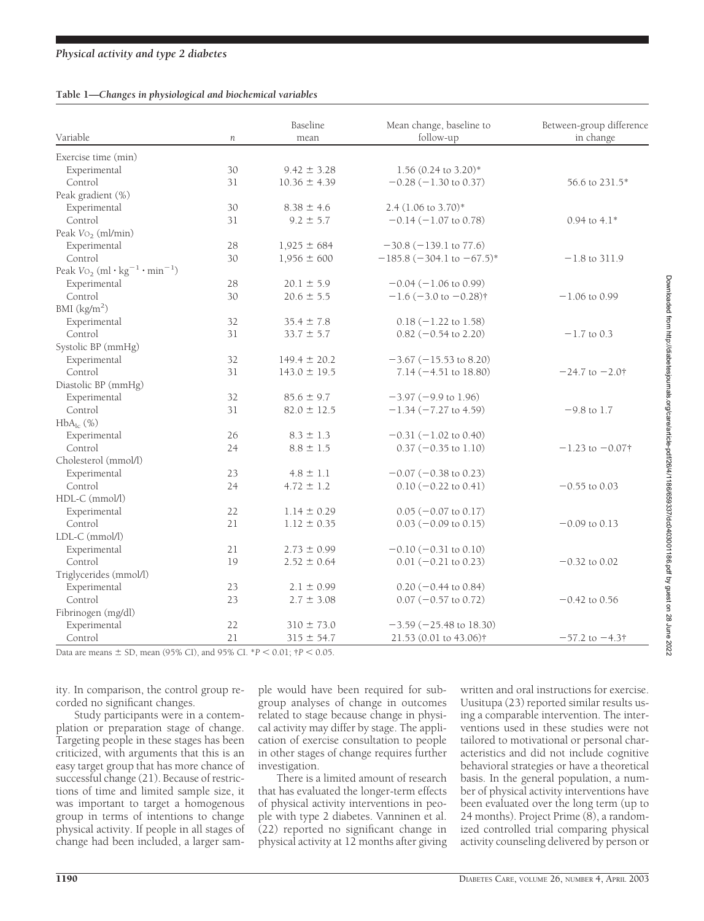# *Physical activity and type 2 diabetes*

#### **Table 1—***Changes in physiological and biochemical variables*

| Variable                                                                    | $\,n$ | Baseline<br>mean | Mean change, baseline to<br>follow-up | Between-group difference<br>in change |
|-----------------------------------------------------------------------------|-------|------------------|---------------------------------------|---------------------------------------|
| Exercise time (min)                                                         |       |                  |                                       |                                       |
| Experimental                                                                | 30    | $9.42 \pm 3.28$  | $1.56$ (0.24 to 3.20)*                |                                       |
| Control                                                                     | 31    | $10.36 \pm 4.39$ | $-0.28$ ( $-1.30$ to 0.37)            | 56.6 to 231.5*                        |
| Peak gradient (%)                                                           |       |                  |                                       |                                       |
| Experimental                                                                | 30    | $8.38 \pm 4.6$   | 2.4 (1.06 to 3.70)*                   |                                       |
| Control                                                                     | 31    | $9.2 \pm 5.7$    | $-0.14$ ( $-1.07$ to 0.78)            | $0.94$ to $4.1*$                      |
| Peak $Vo_2$ (ml/min)                                                        |       |                  |                                       |                                       |
| Experimental                                                                | 28    | $1,925 \pm 684$  | $-30.8 (-139.1$ to 77.6)              |                                       |
| Control                                                                     | 30    | $1,956 \pm 600$  | $-185.8$ (-304.1 to -67.5)*           | $-1.8$ to 311.9                       |
| Peak $\text{Vo}_2$ (ml $\cdot$ kg <sup>-1</sup> $\cdot$ min <sup>-1</sup> ) |       |                  |                                       |                                       |
| Experimental                                                                | 28    | $20.1 \pm 5.9$   | $-0.04$ ( $-1.06$ to 0.99)            |                                       |
| Control                                                                     | 30    | $20.6 \pm 5.5$   | $-1.6$ (-3.0 to $-0.28$ )†            | $-1.06$ to 0.99                       |
| BMI $(kg/m2)$                                                               |       |                  |                                       |                                       |
| Experimental                                                                | 32    | $35.4 \pm 7.8$   | $0.18 (-1.22 \text{ to } 1.58)$       |                                       |
| Control                                                                     | 31    | $33.7 \pm 5.7$   | $0.82 (-0.54$ to 2.20)                | $-1.7$ to 0.3                         |
| Systolic BP (mmHg)                                                          |       |                  |                                       |                                       |
| Experimental                                                                | 32    | $149.4 \pm 20.2$ | $-3.67$ ( $-15.53$ to 8.20)           |                                       |
| Control                                                                     | 31    | $143.0 \pm 19.5$ | $7.14 (-4.51 to 18.80)$               | $-24.7$ to $-2.0$ †                   |
| Diastolic BP (mmHg)                                                         |       |                  |                                       |                                       |
| Experimental                                                                | 32    | $85.6 \pm 9.7$   | $-3.97$ ( $-9.9$ to 1.96)             |                                       |
| Control                                                                     | 31    | $82.0 \pm 12.5$  | $-1.34 (-7.27 \text{ to } 4.59)$      | $-9.8$ to 1.7                         |
| $HbA_{1c}$ (%)                                                              |       |                  |                                       |                                       |
| Experimental                                                                | 26    | $8.3 \pm 1.3$    | $-0.31 (-1.02 \text{ to } 0.40)$      |                                       |
| Control                                                                     | 24    | $8.8 \pm 1.5$    | $0.37 (-0.35 \text{ to } 1.10)$       | $-1.23$ to $-0.07$ †                  |
| Cholesterol (mmol/l)                                                        |       |                  |                                       |                                       |
| Experimental                                                                | 23    | $4.8 \pm 1.1$    | $-0.07$ ( $-0.38$ to 0.23)            |                                       |
| Control                                                                     | 24    | $4.72 \pm 1.2$   | $0.10 (-0.22 \text{ to } 0.41)$       | $-0.55$ to 0.03                       |
| HDL-C (mmol/l)                                                              |       |                  |                                       |                                       |
| Experimental                                                                | 22    | $1.14 \pm 0.29$  | $0.05$ (-0.07 to 0.17)                |                                       |
| Control                                                                     | 21    | $1.12 \pm 0.35$  | $0.03 (-0.09 \text{ to } 0.15)$       | $-0.09$ to 0.13                       |
| LDL-C (mmol/l)                                                              |       |                  |                                       |                                       |
| Experimental                                                                | 21    | $2.73 \pm 0.99$  | $-0.10 (-0.31 \text{ to } 0.10)$      |                                       |
| Control                                                                     | 19    | $2.52 \pm 0.64$  | $0.01 (-0.21 to 0.23)$                | $-0.32$ to 0.02                       |
| Triglycerides (mmol/l)                                                      |       |                  |                                       |                                       |
| Experimental                                                                | 23    | $2.1 \pm 0.99$   | $0.20 (-0.44 \text{ to } 0.84)$       |                                       |
| Control                                                                     | 23    | $2.7 \pm 3.08$   | $0.07 (-0.57 \text{ to } 0.72)$       | $-0.42$ to 0.56                       |
| Fibrinogen (mg/dl)                                                          |       |                  |                                       |                                       |
| Experimental                                                                | 22    | $310 \pm 73.0$   | $-3.59(-25.48 \text{ to } 18.30)$     |                                       |
| Control                                                                     | 21    | $315 \pm 54.7$   | 21.53 (0.01 to 43.06)†                | $-57.2$ to $-4.3$ †                   |

Data are means  $\pm$  SD, mean (95% CI), and 95% CI.  $^*P$  < 0.01;  $^*P$  < 0.05.

ity. In comparison, the control group recorded no significant changes.

Study participants were in a contemplation or preparation stage of change. Targeting people in these stages has been criticized, with arguments that this is an easy target group that has more chance of successful change (21). Because of restrictions of time and limited sample size, it was important to target a homogenous group in terms of intentions to change physical activity. If people in all stages of change had been included, a larger sam-

ple would have been required for subgroup analyses of change in outcomes related to stage because change in physical activity may differ by stage. The application of exercise consultation to people in other stages of change requires further investigation.

There is a limited amount of research that has evaluated the longer-term effects of physical activity interventions in people with type 2 diabetes. Vanninen et al. (22) reported no significant change in physical activity at 12 months after giving

written and oral instructions for exercise. Uusitupa (23) reported similar results using a comparable intervention. The interventions used in these studies were not tailored to motivational or personal characteristics and did not include cognitive behavioral strategies or have a theoretical basis. In the general population, a number of physical activity interventions have been evaluated over the long term (up to 24 months). Project Prime (8), a randomized controlled trial comparing physical activity counseling delivered by person or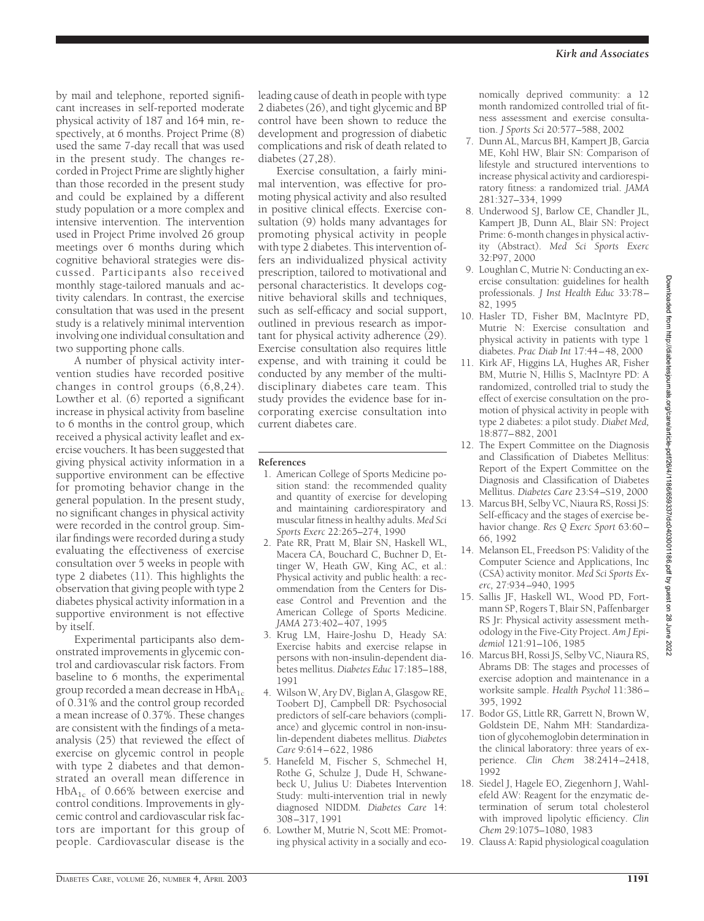by mail and telephone, reported significant increases in self-reported moderate physical activity of 187 and 164 min, respectively, at 6 months. Project Prime (8) used the same 7-day recall that was used in the present study. The changes recorded in Project Prime are slightly higher than those recorded in the present study and could be explained by a different study population or a more complex and intensive intervention. The intervention used in Project Prime involved 26 group meetings over 6 months during which cognitive behavioral strategies were discussed. Participants also received monthly stage-tailored manuals and activity calendars. In contrast, the exercise consultation that was used in the present study is a relatively minimal intervention involving one individual consultation and two supporting phone calls.

A number of physical activity intervention studies have recorded positive changes in control groups (6,8,24). Lowther et al. (6) reported a significant increase in physical activity from baseline to 6 months in the control group, which received a physical activity leaflet and exercise vouchers. It has been suggested that giving physical activity information in a supportive environment can be effective for promoting behavior change in the general population. In the present study, no significant changes in physical activity were recorded in the control group. Similar findings were recorded during a study evaluating the effectiveness of exercise consultation over 5 weeks in people with type 2 diabetes (11). This highlights the observation that giving people with type 2 diabetes physical activity information in a supportive environment is not effective by itself.

Experimental participants also demonstrated improvements in glycemic control and cardiovascular risk factors. From baseline to 6 months, the experimental group recorded a mean decrease in  $HbA_{1c}$ of 0.31% and the control group recorded a mean increase of 0.37%. These changes are consistent with the findings of a metaanalysis (25) that reviewed the effect of exercise on glycemic control in people with type 2 diabetes and that demonstrated an overall mean difference in  $HbA<sub>1c</sub>$  of 0.66% between exercise and control conditions. Improvements in glycemic control and cardiovascular risk factors are important for this group of people. Cardiovascular disease is the

leading cause of death in people with type 2 diabetes (26), and tight glycemic and BP control have been shown to reduce the development and progression of diabetic complications and risk of death related to diabetes (27,28).

Exercise consultation, a fairly minimal intervention, was effective for promoting physical activity and also resulted in positive clinical effects. Exercise consultation (9) holds many advantages for promoting physical activity in people with type 2 diabetes. This intervention offers an individualized physical activity prescription, tailored to motivational and personal characteristics. It develops cognitive behavioral skills and techniques, such as self-efficacy and social support, outlined in previous research as important for physical activity adherence (29). Exercise consultation also requires little expense, and with training it could be conducted by any member of the multidisciplinary diabetes care team. This study provides the evidence base for incorporating exercise consultation into current diabetes care.

## **References**

- 1. American College of Sports Medicine position stand: the recommended quality and quantity of exercise for developing and maintaining cardiorespiratory and muscular fitness in healthy adults. *Med Sci Sports Exerc* 22:265–274, 1990
- 2. Pate RR, Pratt M, Blair SN, Haskell WL, Macera CA, Bouchard C, Buchner D, Ettinger W, Heath GW, King AC, et al.: Physical activity and public health: a recommendation from the Centers for Disease Control and Prevention and the American College of Sports Medicine. *JAMA* 273:402–407, 1995
- 3. Krug LM, Haire-Joshu D, Heady SA: Exercise habits and exercise relapse in persons with non-insulin-dependent diabetes mellitus. *Diabetes Educ* 17:185–188, 1991
- 4. Wilson W, Ary DV, Biglan A, Glasgow RE, Toobert DJ, Campbell DR: Psychosocial predictors of self-care behaviors (compliance) and glycemic control in non-insulin-dependent diabetes mellitus. *Diabetes Care* 9:614–622, 1986
- 5. Hanefeld M, Fischer S, Schmechel H, Rothe G, Schulze J, Dude H, Schwanebeck U, Julius U: Diabetes Intervention Study: multi-intervention trial in newly diagnosed NIDDM*. Diabetes Care* 14: 308–317, 1991
- 6. Lowther M, Mutrie N, Scott ME: Promoting physical activity in a socially and eco-

nomically deprived community: a 12 month randomized controlled trial of fitness assessment and exercise consultation. *J Sports Sci* 20:577–588, 2002

- 7. Dunn AL, Marcus BH, Kampert JB, Garcia ME, Kohl HW, Blair SN: Comparison of lifestyle and structured interventions to increase physical activity and cardiorespiratory fitness: a randomized trial. *JAMA* 281:327–334, 1999
- 8. Underwood SJ, Barlow CE, Chandler JL, Kampert JB, Dunn AL, Blair SN: Project Prime: 6-month changes in physical activity (Abstract). *Med Sci Sports Exerc* 32:P97, 2000
- 9. Loughlan C, Mutrie N: Conducting an exercise consultation: guidelines for health professionals. *J Inst Health Educ* 33:78– .<br>82, 1995
- 10. Hasler TD, Fisher BM, MacIntyre PD, Mutrie N: Exercise consultation and physical activity in patients with type 1 diabetes. *Prac Diab Int* 17:44–48, 2000
- 11. Kirk AF, Higgins LA, Hughes AR, Fisher BM, Mutrie N, Hillis S, MacIntyre PD: A randomized, controlled trial to study the effect of exercise consultation on the promotion of physical activity in people with type 2 diabetes: a pilot study. *Diabet Med,* 18:877–882, 2001
- 12. The Expert Committee on the Diagnosis and Classification of Diabetes Mellitus: Report of the Expert Committee on the Diagnosis and Classification of Diabetes Mellitus. *Diabetes Care* 23:S4–S19, 2000
- 13. Marcus BH, Selby VC, Niaura RS, Rossi JS: Self-efficacy and the stages of exercise behavior change. *Res Q Exerc Sport* 63:60– 66, 1992
- 14. Melanson EL, Freedson PS: Validity of the Computer Science and Applications, Inc (CSA) activity monitor. *Med Sci Sports Exerc,* 27:934–940, 1995
- 15. Sallis JF, Haskell WL, Wood PD, Fortmann SP, Rogers T, Blair SN, Paffenbarger RS Jr: Physical activity assessment methodology in the Five-City Project. *Am J Epidemiol* 121:91–106, 1985
- 16. Marcus BH, Rossi JS, Selby VC, Niaura RS, Abrams DB: The stages and processes of exercise adoption and maintenance in a worksite sample. *Health Psychol* 11:386– 395, 1992
- 17. Bodor GS, Little RR, Garrett N, Brown W, Goldstein DE, Nahm MH: Standardization of glycohemoglobin determination in the clinical laboratory: three years of experience. *Clin Chem* 38:2414–2418, 1992
- 18. Siedel J, Hagele EO, Ziegenhorn J, Wahlefeld AW: Reagent for the enzymatic determination of serum total cholesterol with improved lipolytic efficiency. *Clin Chem* 29:1075–1080, 1983
- 19. Clauss A: Rapid physiological coagulation